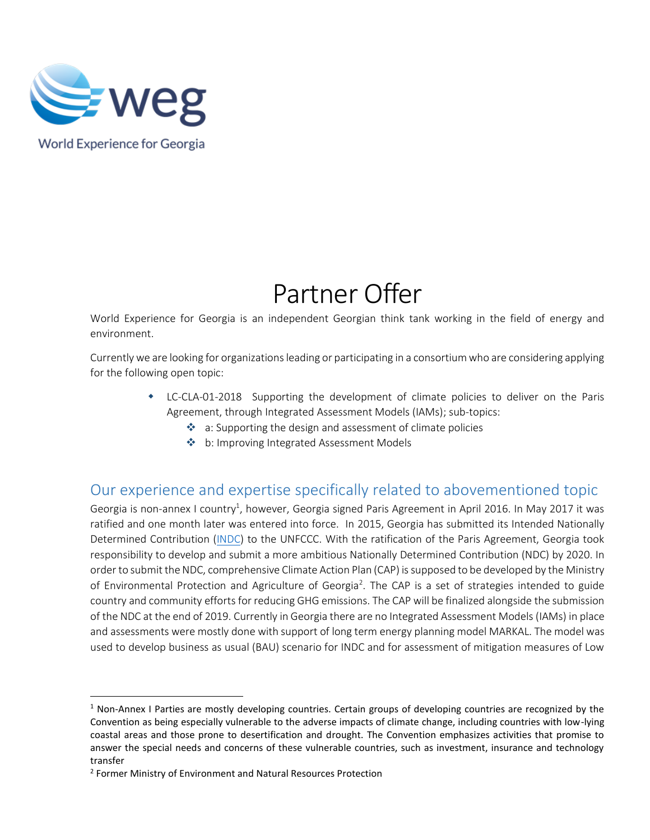

 $\overline{a}$ 

# Partner Offer

World Experience for Georgia is an independent Georgian think tank working in the field of energy and environment.

Currently we are looking for organizations leading or participating in a consortium who are considering applying for the following open topic:

- LC-CLA-01-2018 Supporting the development of climate policies to deliver on the Paris Agreement, through Integrated Assessment Models (IAMs); sub-topics:
	- $\cdot$  a: Supporting the design and assessment of climate policies
	- b: Improving Integrated Assessment Models

## Our experience and expertise specifically related to abovementioned topic

Georgia is non-annex I country<sup>1</sup>, however, Georgia signed Paris Agreement in April 2016. In May 2017 it was ratified and one month later was entered into force. In 2015, Georgia has submitted its Intended Nationally Determined Contribution [\(INDC\)](http://www4.unfccc.int/ndcregistry/PublishedDocuments/Georgia%20First/INDC_of_Georgia.pdf) to the UNFCCC. With the ratification of the Paris Agreement, Georgia took responsibility to develop and submit a more ambitious Nationally Determined Contribution (NDC) by 2020. In order to submit the NDC, comprehensive Climate Action Plan (CAP) is supposed to be developed by the Ministry of Environmental Protection and Agriculture of Georgia<sup>2</sup>. The CAP is a set of strategies intended to guide country and community efforts for reducing GHG emissions. The CAP will be finalized alongside the submission of the NDC at the end of 2019. Currently in Georgia there are no Integrated Assessment Models (IAMs) in place and assessments were mostly done with support of long term energy planning model MARKAL. The model was used to develop business as usual (BAU) scenario for INDC and for assessment of mitigation measures of Low

 $1$  Non-Annex I Parties are mostly developing countries. Certain groups of developing countries are recognized by the Convention as being especially vulnerable to the adverse impacts of climate change, including countries with low-lying coastal areas and those prone to desertification and drought. The Convention emphasizes activities that promise to answer the special needs and concerns of these vulnerable countries, such as investment, insurance and technology transfer

<sup>&</sup>lt;sup>2</sup> Former Ministry of Environment and Natural Resources Protection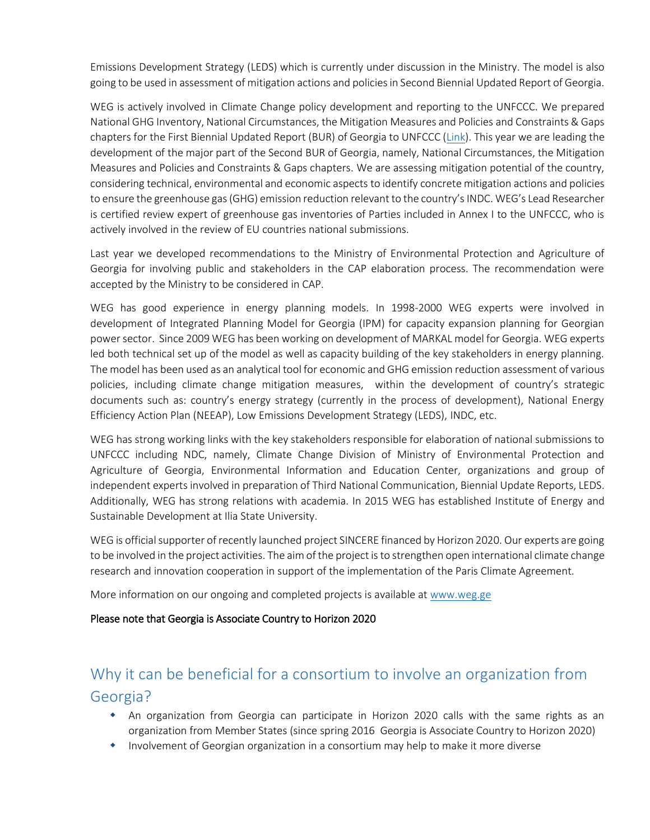Emissions Development Strategy (LEDS) which is currently under discussion in the Ministry. The model is also going to be used in assessment of mitigation actions and policies in Second Biennial Updated Report of Georgia.

WEG is actively involved in Climate Change policy development and reporting to the UNFCCC. We prepared National GHG Inventory, National Circumstances, the Mitigation Measures and Policies and Constraints & Gaps chapters for the First Biennial Updated Report (BUR) of Georgia to UNFCCC [\(Link\)](http://unfccc.int/files/national_reports/non-annex_i_parties/ica/application/pdf/first_bur_-_georgia.pdf). This year we are leading the development of the major part of the Second BUR of Georgia, namely, National Circumstances, the Mitigation Measures and Policies and Constraints & Gaps chapters. We are assessing mitigation potential of the country, considering technical, environmental and economic aspects to identify concrete mitigation actions and policies to ensure the greenhouse gas (GHG) emission reduction relevant to the country's INDC. WEG's Lead Researcher is certified review expert of greenhouse gas inventories of Parties included in Annex I to the UNFCCC, who is actively involved in the review of EU countries national submissions.

Last year we developed recommendations to the Ministry of Environmental Protection and Agriculture of Georgia for involving public and stakeholders in the CAP elaboration process. The recommendation were accepted by the Ministry to be considered in CAP.

WEG has good experience in energy planning models. In 1998-2000 WEG experts were involved in development of Integrated Planning Model for Georgia (IPM) for capacity expansion planning for Georgian power sector. Since 2009 WEG has been working on development of MARKAL model for Georgia. WEG experts led both technical set up of the model as well as capacity building of the key stakeholders in energy planning. The model has been used as an analytical tool for economic and GHG emission reduction assessment of various policies, including climate change mitigation measures, within the development of country's strategic documents such as: country's energy strategy (currently in the process of development), National Energy Efficiency Action Plan (NEEAP), Low Emissions Development Strategy (LEDS), INDC, etc.

WEG has strong working links with the key stakeholders responsible for elaboration of national submissions to UNFCCC including NDC, namely, Climate Change Division of Ministry of Environmental Protection and Agriculture of Georgia, Environmental Information and Education Center, organizations and group of independent experts involved in preparation of Third National Communication, Biennial Update Reports, LEDS. Additionally, WEG has strong relations with academia. In 2015 WEG has established Institute of Energy and Sustainable Development at Ilia State University.

WEG is official supporter of recently launched project SINCERE financed by Horizon 2020. Our experts are going to be involved in the project activities. The aim of the project is to strengthen open international climate change research and innovation cooperation in support of the implementation of the Paris Climate Agreement.

More information on our ongoing and completed projects is available at [www.weg.ge](http://www.weg.ge/)

#### Please note that Georgia is Associate Country to Horizon 2020

# Why it can be beneficial for a consortium to involve an organization from Georgia?

- An organization from Georgia can participate in Horizon 2020 calls with the same rights as an organization from Member States (since spring 2016 Georgia is Associate Country to Horizon 2020)
- Involvement of Georgian organization in a consortium may help to make it more diverse